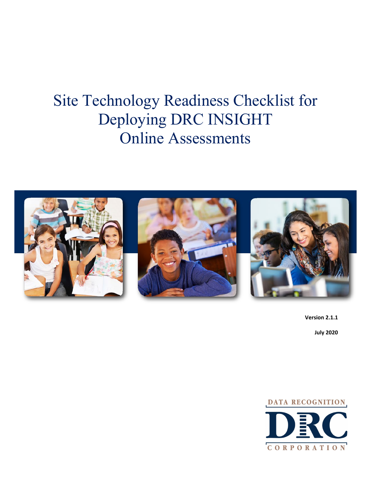# Site Technology Readiness Checklist for Deploying DRC INSIGHT Online Assessments



**Version 2.1.1 July 2020**

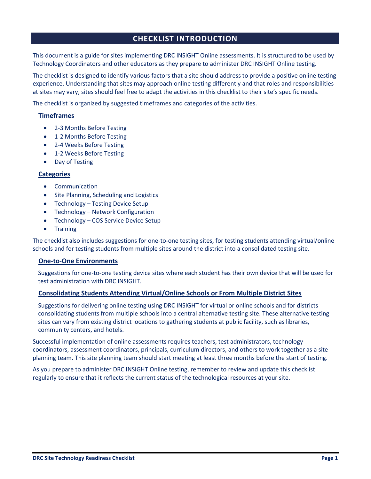# **CHECKLIST INTRODUCTION**

This document is a guide for sites implementing DRC INSIGHT Online assessments. It is structured to be used by Technology Coordinators and other educators as they prepare to administer DRC INSIGHT Online testing.

The checklist is designed to identify various factors that a site should address to provide a positive online testing experience. Understanding that sites may approach online testing differently and that roles and responsibilities at sites may vary, sites should feel free to adapt the activities in this checklist to their site's specific needs.

The checklist is organized by suggested timeframes and categories of the activities.

## **Timeframes**

- 2-3 Months Before Testing
- 1-2 Months Before Testing
- 2-4 Weeks Before Testing
- 1-2 Weeks Before Testing
- Day of Testing

## **Categories**

- Communication
- Site Planning, Scheduling and Logistics
- Technology Testing Device Setup
- Technology Network Configuration
- Technology COS Service Device Setup
- Training

The checklist also includes suggestions for one-to-one testing sites, for testing students attending virtual/online schools and for testing students from multiple sites around the district into a consolidated testing site.

## **One-to-One Environments**

Suggestions for one-to-one testing device sites where each student has their own device that will be used for test administration with DRC INSIGHT.

## **Consolidating Students Attending Virtual/Online Schools or From Multiple District Sites**

Suggestions for delivering online testing using DRC INSIGHT for virtual or online schools and for districts consolidating students from multiple schools into a central alternative testing site. These alternative testing sites can vary from existing district locations to gathering students at public facility, such as libraries, community centers, and hotels.

Successful implementation of online assessments requires teachers, test administrators, technology coordinators, assessment coordinators, principals, curriculum directors, and others to work together as a site planning team. This site planning team should start meeting at least three months before the start of testing.

As you prepare to administer DRC INSIGHT Online testing, remember to review and update this checklist regularly to ensure that it reflects the current status of the technological resources at your site.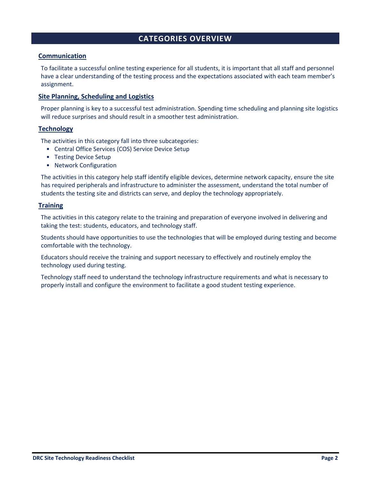# **CATEGORIES OVERVIEW**

## **Communication**

To facilitate a successful online testing experience for all students, it is important that all staff and personnel have a clear understanding of the testing process and the expectations associated with each team member's assignment.

## **Site Planning, Scheduling and Logistics**

Proper planning is key to a successful test administration. Spending time scheduling and planning site logistics will reduce surprises and should result in a smoother test administration.

## **Technology**

The activities in this category fall into three subcategories:

- Central Office Services (COS) Service Device Setup
- Testing Device Setup
- Network Configuration

The activities in this category help staff identify eligible devices, determine network capacity, ensure the site has required peripherals and infrastructure to administer the assessment, understand the total number of students the testing site and districts can serve, and deploy the technology appropriately.

## **Training**

The activities in this category relate to the training and preparation of everyone involved in delivering and taking the test: students, educators, and technology staff.

Students should have opportunities to use the technologies that will be employed during testing and become comfortable with the technology.

Educators should receive the training and support necessary to effectively and routinely employ the technology used during testing.

Technology staff need to understand the technology infrastructure requirements and what is necessary to properly install and configure the environment to facilitate a good student testing experience.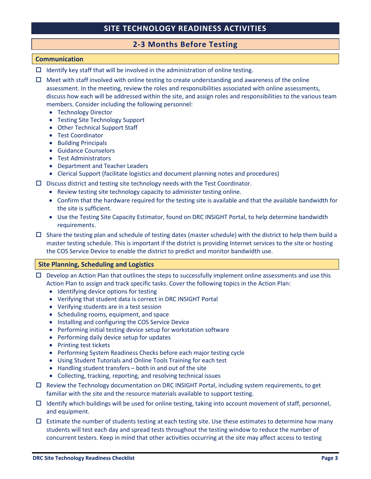# **2-3 Months Before Testing**

#### **Communication**

- $\Box$  Identify key staff that will be involved in the administration of online testing.
- $\Box$  Meet with staff involved with online testing to create understanding and awareness of the online assessment. In the meeting, review the roles and responsibilities associated with online assessments, discuss how each will be addressed within the site, and assign roles and responsibilities to the various team members. Consider including the following personnel:
	- Technology Director
	- Testing Site Technology Support
	- Other Technical Support Staff
	- Test Coordinator
	- Building Principals
	- Guidance Counselors
	- Test Administrators
	- Department and Teacher Leaders
	- Clerical Support (facilitate logistics and document planning notes and procedures)
- $\Box$  Discuss district and testing site technology needs with the Test Coordinator.
	- Review testing site technology capacity to administer testing online.
	- Confirm that the hardware required for the testing site is available and that the available bandwidth for the site is sufficient.
	- Use the Testing Site Capacity Estimator, found on DRC INSIGHT Portal, to help determine bandwidth requirements.
- $\Box$  Share the testing plan and schedule of testing dates (master schedule) with the district to help them build a master testing schedule. This is important if the district is providing Internet services to the site or hosting the COS Service Device to enable the district to predict and monitor bandwidth use.

#### **Site Planning, Scheduling and Logistics**

- $\Box$  Develop an Action Plan that outlines the steps to successfully implement online assessments and use this Action Plan to assign and track specific tasks. Cover the following topics in the Action Plan:
	- Identifying device options for testing
	- Verifying that student data is correct in DRC INSIGHT Portal
	- Verifying students are in a test session
	- Scheduling rooms, equipment, and space
	- Installing and configuring the COS Service Device
	- Performing initial testing device setup for workstation software
	- Performing daily device setup for updates
	- Printing test tickets
	- Performing System Readiness Checks before each major testing cycle
	- Using Student Tutorials and Online Tools Training for each test
	- Handling student transfers both in and out of the site
	- Collecting, tracking, reporting, and resolving technical issues
- $\Box$  Review the Technology documentation on DRC INSIGHT Portal, including system requirements, to get familiar with the site and the resource materials available to support testing.
- $\Box$  Identify which buildings will be used for online testing, taking into account movement of staff, personnel, and equipment.
- $\Box$  Estimate the number of students testing at each testing site. Use these estimates to determine how many students will test each day and spread tests throughout the testing window to reduce the number of concurrent testers. Keep in mind that other activities occurring at the site may affect access to testing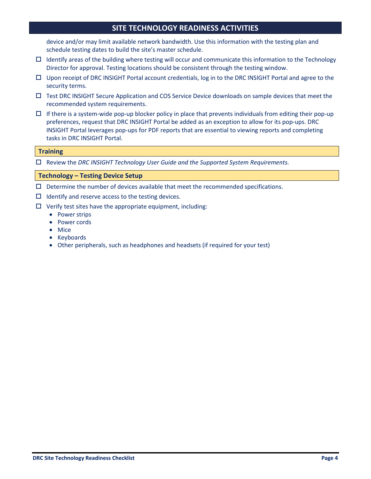device and/or may limit available network bandwidth. Use this information with the testing plan and schedule testing dates to build the site's master schedule.

- $\Box$  Identify areas of the building where testing will occur and communicate this information to the Technology Director for approval. Testing locations should be consistent through the testing window.
- $\Box$  Upon receipt of DRC INSIGHT Portal account credentials, log in to the DRC INSIGHT Portal and agree to the security terms.
- $\Box$  Test DRC INSIGHT Secure Application and COS Service Device downloads on sample devices that meet the recommended system requirements.
- $\Box$  If there is a system-wide pop-up blocker policy in place that prevents individuals from editing their pop-up preferences, request that DRC INSIGHT Portal be added as an exception to allow for its pop-ups. DRC INSIGHT Portal leverages pop-ups for PDF reports that are essential to viewing reports and completing tasks in DRC INSIGHT Portal.

#### **Training**

Review the *DRC INSIGHT Technology User Guide and the Supported System Requirements.*

#### **Technology – Testing Device Setup**

- $\square$  Determine the number of devices available that meet the recommended specifications.
- $\Box$  Identify and reserve access to the testing devices.
- $\Box$  Verify test sites have the appropriate equipment, including:
	- Power strips
	- Power cords
	- Mice
	- Keyboards
	- Other peripherals, such as headphones and headsets (if required for your test)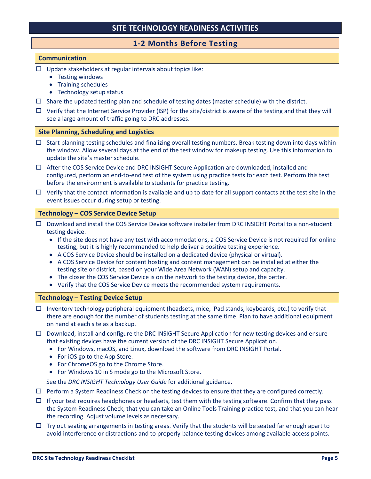# **1-2 Months Before Testing**

## **Communication**

- $\Box$  Update stakeholders at regular intervals about topics like:
	- Testing windows
	- Training schedules
	- Technology setup status
- $\Box$  Share the updated testing plan and schedule of testing dates (master schedule) with the district.
- $\Box$  Verify that the Internet Service Provider (ISP) for the site/district is aware of the testing and that they will see a large amount of traffic going to DRC addresses.

## **Site Planning, Scheduling and Logistics**

- $\Box$  Start planning testing schedules and finalizing overall testing numbers. Break testing down into days within the window. Allow several days at the end of the test window for makeup testing. Use this information to update the site's master schedule.
- After the COS Service Device and DRC INSIGHT Secure Application are downloaded, installed and configured, perform an end-to-end test of the system using practice tests for each test. Perform this test before the environment is available to students for practice testing.
- $\Box$  Verify that the contact information is available and up to date for all support contacts at the test site in the event issues occur during setup or testing.

## **Technology – COS Service Device Setup**

- Download and install the COS Service Device software installer from DRC INSIGHT Portal to a non-student testing device.
	- If the site does not have any test with accommodations, a COS Service Device is not required for online testing, but it is highly recommended to help deliver a positive testing experience.
	- A COS Service Device should be installed on a dedicated device (physical or virtual).
	- A COS Service Device for content hosting and content management can be installed at either the testing site or district, based on your Wide Area Network (WAN) setup and capacity.
	- The closer the COS Service Device is on the network to the testing device, the better.
	- Verify that the COS Service Device meets the recommended system requirements.

## **Technology – Testing Device Setup**

- $\Box$  Inventory technology peripheral equipment (headsets, mice, iPad stands, keyboards, etc.) to verify that there are enough for the number of students testing at the same time. Plan to have additional equipment on hand at each site as a backup.
- $\Box$  Download, install and configure the DRC INSIGHT Secure Application for new testing devices and ensure that existing devices have the current version of the DRC INSIGHT Secure Application.
	- For Windows, macOS, and Linux, download the software from DRC INSIGHT Portal.
	- For iOS go to the App Store.
	- For ChromeOS go to the Chrome Store.
	- For Windows 10 in S mode go to the Microsoft Store.

See the *DRC INSIGHT Technology User Guide* for additional guidance.

- $\Box$  Perform a System Readiness Check on the testing devices to ensure that they are configured correctly.
- $\Box$  If your test requires headphones or headsets, test them with the testing software. Confirm that they pass the System Readiness Check, that you can take an Online Tools Training practice test, and that you can hear the recording. Adjust volume levels as necessary.
- $\Box$  Try out seating arrangements in testing areas. Verify that the students will be seated far enough apart to avoid interference or distractions and to properly balance testing devices among available access points.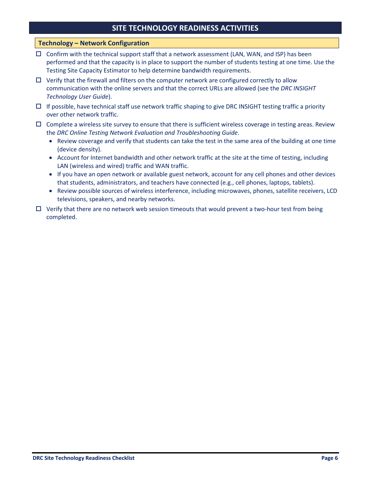## **Technology – Network Configuration**

- $\Box$  Confirm with the technical support staff that a network assessment (LAN, WAN, and ISP) has been performed and that the capacity is in place to support the number of students testing at one time. Use the Testing Site Capacity Estimator to help determine bandwidth requirements.
- $\Box$  Verify that the firewall and filters on the computer network are configured correctly to allow communication with the online servers and that the correct URLs are allowed (see the *DRC INSIGHT Technology User Guide*).
- $\Box$  If possible, have technical staff use network traffic shaping to give DRC INSIGHT testing traffic a priority over other network traffic.
- $\Box$  Complete a wireless site survey to ensure that there is sufficient wireless coverage in testing areas. Review the *DRC Online Testing Network Evaluation and Troubleshooting Guide*.
	- Review coverage and verify that students can take the test in the same area of the building at one time (device density).
	- Account for Internet bandwidth and other network traffic at the site at the time of testing, including LAN (wireless and wired) traffic and WAN traffic.
	- If you have an open network or available guest network, account for any cell phones and other devices that students, administrators, and teachers have connected (e.g., cell phones, laptops, tablets).
	- Review possible sources of wireless interference, including microwaves, phones, satellite receivers, LCD televisions, speakers, and nearby networks.
- $\Box$  Verify that there are no network web session timeouts that would prevent a two-hour test from being completed.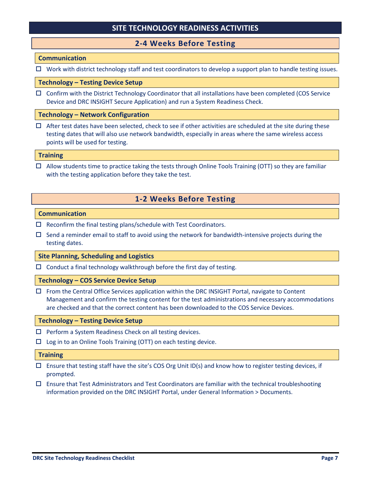## **2-4 Weeks Before Testing**

#### **Communication**

 $\Box$  Work with district technology staff and test coordinators to develop a support plan to handle testing issues.

#### **Technology – Testing Device Setup**

 $\Box$  Confirm with the District Technology Coordinator that all installations have been completed (COS Service Device and DRC INSIGHT Secure Application) and run a System Readiness Check.

#### **Technology – Network Configuration**

 $\Box$  After test dates have been selected, check to see if other activities are scheduled at the site during these testing dates that will also use network bandwidth, especially in areas where the same wireless access points will be used for testing.

#### **Training**

 $\Box$  Allow students time to practice taking the tests through Online Tools Training (OTT) so they are familiar with the testing application before they take the test.

# **1-2 Weeks Before Testing**

#### **Communication**

- $\Box$  Reconfirm the final testing plans/schedule with Test Coordinators.
- $\Box$  Send a reminder email to staff to avoid using the network for bandwidth-intensive projects during the testing dates.

## **Site Planning, Scheduling and Logistics**

 $\Box$  Conduct a final technology walkthrough before the first day of testing.

#### **Technology – COS Service Device Setup**

 $\Box$  From the Central Office Services application within the DRC INSIGHT Portal, navigate to Content Management and confirm the testing content for the test administrations and necessary accommodations are checked and that the correct content has been downloaded to the COS Service Devices.

#### **Technology – Testing Device Setup**

- $\Box$  Perform a System Readiness Check on all testing devices.
- $\Box$  Log in to an Online Tools Training (OTT) on each testing device.

#### **Training**

- $\Box$  Ensure that testing staff have the site's COS Org Unit ID(s) and know how to register testing devices, if prompted.
- $\Box$  Ensure that Test Administrators and Test Coordinators are familiar with the technical troubleshooting information provided on the DRC INSIGHT Portal, under General Information > Documents.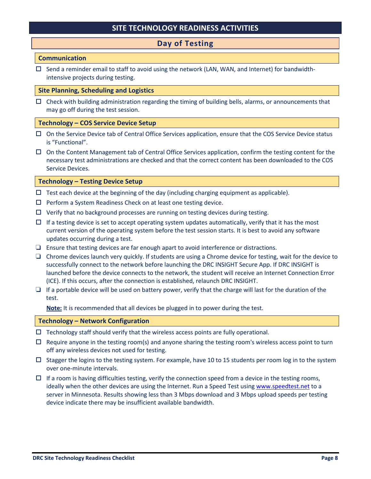# **Day of Testing**

## **Communication**

 $\Box$  Send a reminder email to staff to avoid using the network (LAN, WAN, and Internet) for bandwidthintensive projects during testing.

#### **Site Planning, Scheduling and Logistics**

 $\Box$  Check with building administration regarding the timing of building bells, alarms, or announcements that may go off during the test session.

#### **Technology – COS Service Device Setup**

- $\Box$  On the Service Device tab of Central Office Services application, ensure that the COS Service Device status is "Functional".
- $\Box$  On the Content Management tab of Central Office Services application, confirm the testing content for the necessary test administrations are checked and that the correct content has been downloaded to the COS Service Devices.

#### **Technology – Testing Device Setup**

- $\Box$  Test each device at the beginning of the day (including charging equipment as applicable).
- $\Box$  Perform a System Readiness Check on at least one testing device.
- $\Box$  Verify that no background processes are running on testing devices during testing.
- $\Box$  If a testing device is set to accept operating system updates automatically, verify that it has the most current version of the operating system before the test session starts. It is best to avoid any software updates occurring during a test.
- ❏ Ensure that testing devices are far enough apart to avoid interference or distractions.
- ❏ Chrome devices launch very quickly. If students are using a Chrome device for testing, wait for the device to successfully connect to the network before launching the DRC INSIGHT Secure App. If DRC INSIGHT is launched before the device connects to the network, the student will receive an Internet Connection Error (ICE). If this occurs, after the connection is established, relaunch DRC INSIGHT.
- $\Box$  If a portable device will be used on battery power, verify that the charge will last for the duration of the test.

**Note:** It is recommended that all devices be plugged in to power during the test.

#### **Technology – Network Configuration**

- $\Box$  Technology staff should verify that the wireless access points are fully operational.
- $\Box$  Require anyone in the testing room(s) and anyone sharing the testing room's wireless access point to turn off any wireless devices not used for testing.
- $\square$  Stagger the logins to the testing system. For example, have 10 to 15 students per room log in to the system over one-minute intervals.
- $\Box$  If a room is having difficulties testing, verify the connection speed from a device in the testing rooms, ideally when the other devices are using the Internet. Run a Speed Test using [www.speedtest.net](http://www.speedtest.net/) to a server in Minnesota. Results showing less than 3 Mbps download and 3 Mbps upload speeds per testing device indicate there may be insufficient available bandwidth.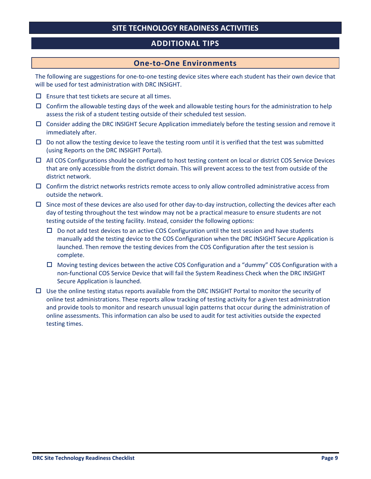# **ADDITIONAL TIPS**

## **One-to-One Environments**

The following are suggestions for one-to-one testing device sites where each student has their own device that will be used for test administration with DRC INSIGHT.

- $\Box$  Ensure that test tickets are secure at all times.
- $\Box$  Confirm the allowable testing days of the week and allowable testing hours for the administration to help assess the risk of a student testing outside of their scheduled test session.
- $\Box$  Consider adding the DRC INSIGHT Secure Application immediately before the testing session and remove it immediately after.
- $\Box$  Do not allow the testing device to leave the testing room until it is verified that the test was submitted (using Reports on the DRC INSIGHT Portal).
- $\Box$  All COS Configurations should be configured to host testing content on local or district COS Service Devices that are only accessible from the district domain. This will prevent access to the test from outside of the district network.
- $\Box$  Confirm the district networks restricts remote access to only allow controlled administrative access from outside the network.
- $\square$  Since most of these devices are also used for other day-to-day instruction, collecting the devices after each day of testing throughout the test window may not be a practical measure to ensure students are not testing outside of the testing facility. Instead, consider the following options:
	- $\Box$  Do not add test devices to an active COS Configuration until the test session and have students manually add the testing device to the COS Configuration when the DRC INSIGHT Secure Application is launched. Then remove the testing devices from the COS Configuration after the test session is complete.
	- $\Box$  Moving testing devices between the active COS Configuration and a "dummy" COS Configuration with a non-functional COS Service Device that will fail the System Readiness Check when the DRC INSIGHT Secure Application is launched.
- $\Box$  Use the online testing status reports available from the DRC INSIGHT Portal to monitor the security of online test administrations. These reports allow tracking of testing activity for a given test administration and provide tools to monitor and research unusual login patterns that occur during the administration of online assessments. This information can also be used to audit for test activities outside the expected testing times.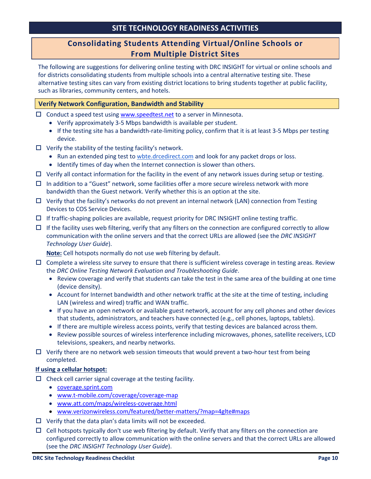# **Consolidating Students Attending Virtual/Online Schools or From Multiple District Sites**

The following are suggestions for delivering online testing with DRC INSIGHT for virtual or online schools and for districts consolidating students from multiple schools into a central alternative testing site. These alternative testing sites can vary from existing district locations to bring students together at public facility, such as libraries, community centers, and hotels.

## **Verify Network Configuration, Bandwidth and Stability**

- $\Box$  Conduct a speed test using [www.speedtest.net](http://www.speedtest.net/) to a server in Minnesota.
	- Verify approximately 3-5 Mbps bandwidth is available per student.
	- If the testing site has a bandwidth-rate-limiting policy, confirm that it is at least 3-5 Mbps per testing device.
- $\Box$  Verify the stability of the testing facility's network.
	- Run an extended ping test to wbte.drcedirect.com and look for any packet drops or loss.
	- Identify times of day when the Internet connection is slower than others.
- $\Box$  Verify all contact information for the facility in the event of any network issues during setup or testing.
- $\Box$  In addition to a "Guest" network, some facilities offer a more secure wireless network with more bandwidth than the Guest network. Verify whether this is an option at the site.
- $\Box$  Verify that the facility's networks do not prevent an internal network (LAN) connection from Testing Devices to COS Service Devices.
- $\Box$  If traffic-shaping policies are available, request priority for DRC INSIGHT online testing traffic.
- $\Box$  If the facility uses web filtering, verify that any filters on the connection are configured correctly to allow communication with the online servers and that the correct URLs are allowed (see the *DRC INSIGHT Technology User Guide*).

**Note:** Cell hotspots normally do not use web filtering by default.

- $\Box$  Complete a wireless site survey to ensure that there is sufficient wireless coverage in testing areas. Review the *DRC Online Testing Network Evaluation and Troubleshooting Guide*.
	- Review coverage and verify that students can take the test in the same area of the building at one time (device density).
	- Account for Internet bandwidth and other network traffic at the site at the time of testing, including LAN (wireless and wired) traffic and WAN traffic.
	- If you have an open network or available guest network, account for any cell phones and other devices that students, administrators, and teachers have connected (e.g., cell phones, laptops, tablets).
	- If there are multiple wireless access points, verify that testing devices are balanced across them.
	- Review possible sources of wireless interference including microwaves, phones, satellite receivers, LCD televisions, speakers, and nearby networks.
- $\Box$  Verify there are no network web session timeouts that would prevent a two-hour test from being completed.

## **If using a cellular hotspot:**

- $\Box$  Check cell carrier signal coverage at the testing facility.
	- [coverage.sprint.com](https://coverage.sprint.com/)
	- [www.t-mobile.com/coverage/coverage-map](https://www.t-mobile.com/coverage/coverage-map)
	- [www.att.com/maps/wireless-coverage.html](https://www.att.com/maps/wireless-coverage.html)
	- [www.verizonwireless.com/featured/better-matters/?map=4glte#maps](https://www.verizonwireless.com/featured/better-matters/?map=4glte#maps)
- $\Box$  Verify that the data plan's data limits will not be exceeded.
- $\Box$  Cell hotspots typically don't use web filtering by default. Verify that any filters on the connection are configured correctly to allow communication with the online servers and that the correct URLs are allowed (see the *DRC INSIGHT Technology User Guide*).